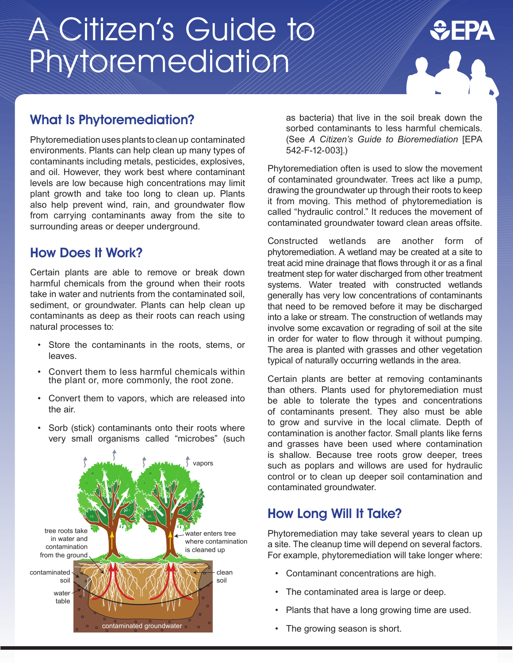# A Citizen's Guide to Phytoremediation



# What Is Phytoremediation?

Phytoremediation uses plants to clean up contaminated environments. Plants can help clean up many types of contaminants including metals, pesticides, explosives, and oil. However, they work best where contaminant levels are low because high concentrations may limit plant growth and take too long to clean up. Plants also help prevent wind, rain, and groundwater flow from carrying contaminants away from the site to surrounding areas or deeper underground.

### How Does It Work?

Certain plants are able to remove or break down harmful chemicals from the ground when their roots take in water and nutrients from the contaminated soil, sediment, or groundwater. Plants can help clean up contaminants as deep as their roots can reach using natural processes to:

- Store the contaminants in the roots, stems, or leaves.
- Convert them to less harmful chemicals within the plant or, more commonly, the root zone.
- Convert them to vapors, which are released into the air.
- Sorb (stick) contaminants onto their roots where very small organisms called "microbes" (such



as bacteria) that live in the soil break down the sorbed contaminants to less harmful chemicals. (See *A Citizen's Guide to Bioremediation* [EPA 542-F-12-003].)

Phytoremediation often is used to slow the movement of contaminated groundwater. Trees act like a pump, drawing the groundwater up through their roots to keep it from moving. This method of phytoremediation is called "hydraulic control." It reduces the movement of contaminated groundwater toward clean areas offsite.

Constructed wetlands are another form of phytoremediation. A wetland may be created at a site to treat acid mine drainage that flows through it or as a final treatment step for water discharged from other treatment systems. Water treated with constructed wetlands generally has very low concentrations of contaminants that need to be removed before it may be discharged into a lake or stream. The construction of wetlands may involve some excavation or regrading of soil at the site in order for water to flow through it without pumping. The area is planted with grasses and other vegetation typical of naturally occurring wetlands in the area.

Certain plants are better at removing contaminants than others. Plants used for phytoremediation must be able to tolerate the types and concentrations of contaminants present. They also must be able to grow and survive in the local climate. Depth of contamination is another factor. Small plants like ferns and grasses have been used where contamination is shallow. Because tree roots grow deeper, trees such as poplars and willows are used for hydraulic control or to clean up deeper soil contamination and contaminated groundwater.

# How Long Will It Take?

Phytoremediation may take several years to clean up a site. The cleanup time will depend on several factors. For example, phytoremediation will take longer where:

- Contaminant concentrations are high.
- The contaminated area is large or deep.
- Plants that have a long growing time are used.
- The growing season is short.